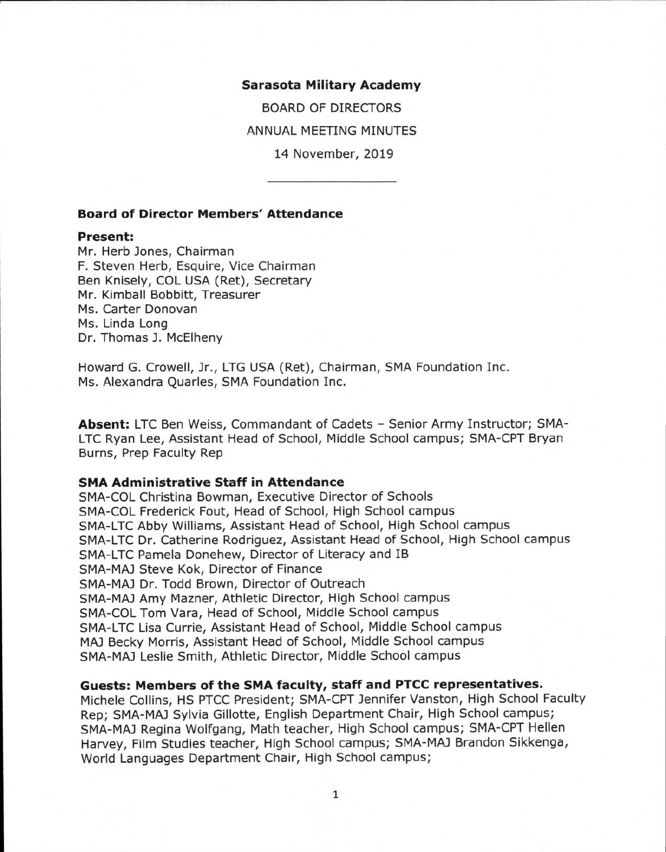#### **Sarasota Military Academy**

BOARD OF DIRECTORS ANNUAL MEETING MINUTES 14 November, 2019

## **Board of Director Members' Attendance**

#### **Present:**

Mr. Herb Jones, Chairman F. Steven Herb, Esquire, Vice Chairman Ben Knisely, COL USA (Ret), Secretary Mr. Kimball Bobbitt, Treasurer Ms. Carter Donovan Ms. Linda Long Dr. Thomas J. McElheny

Howard G. Crowell, Jr., LTG USA (Ret), Chairman, SMA Foundation Inc. Ms. Alexandra Quarles, SMA Foundation Inc.

Absent: LTC Ben Weiss, Commandant of Cadets - Senior Army Instructor; SMA-LTC Ryan Lee, Assistant Head of School, Middle School campus; SMA-CPT Bryan Burns, Prep Faculty Rep

#### **SMA Administrative Staff in Attendance**

SMA-COL Christina Bowman, Executive Director of Schools SMA-COL Frederick Fout, Head of School, High School campus SMA-LTC Abby Williams, Assistant Head of School, High School campus SMA-LTC Dr. Catherine Rodriguez, Assistant Head of School, High School campus SMA-LTC Pamela Donehew, Director of Literacy and IB SMA-MAJ Steve Kok, Director of Finance SMA-MAJ Dr. Todd Brown, Director of Outreach SMA-MAJ Amy Mazner, Athletic Director, High School campus SMA-COL Tom Vara, Head of School, Middle School campus SMA-LTC Lisa Currie, Assistant Head of School, Middle School campus MAJ Becky Morris, Assistant Head of School, Middle School campus SMA-MAJ Leslie Smith, Athletic Director, Middle School campus

# **Guests: Members of the SMA faculty, staff and PTCC representatives.**

Michele Collins, HS PTCC President; SMA-CPT Jennifer Vanston, High School Faculty Rep; SMA-MAJ Sylvia Gillotte, English Department Chair, High School campus; SMA-MAJ Regina Wolfgang, Math teacher, High School campus; SMA-CPT Hellen Harvey, Film Studies teacher, High School campus; SMA-MAJ Brandon Sikkenga, World Languages Department Chair, High School campus;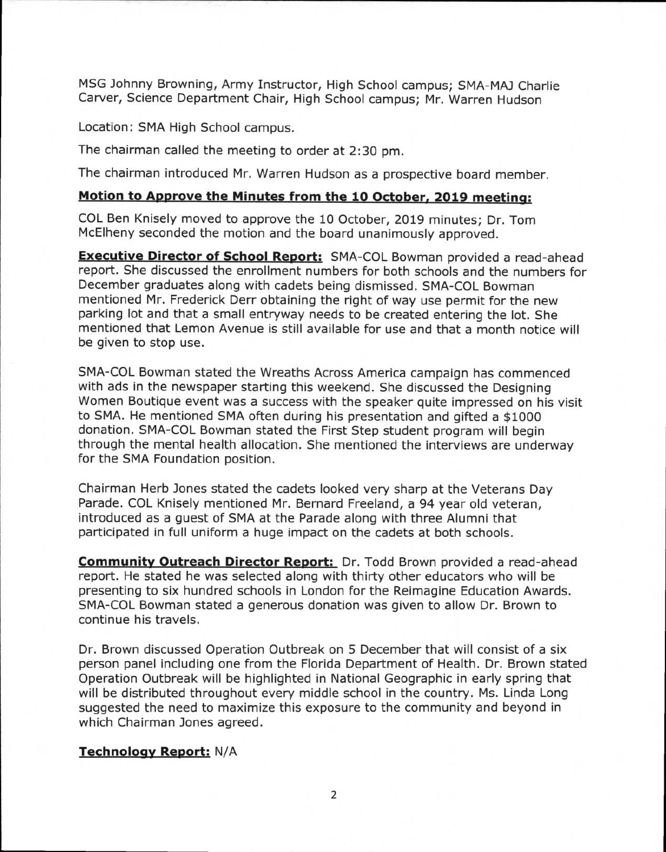MSG Johnny Browning, Army Instructor, High School campus; SMA-MAJ Charlie Carver, Science Department Chair, High School campus; Mr. Warren Hudson

Location: SMA High School campus.

The chairman called the meeting to order at 2:30 pm.

The chairman introduced Mr. Warren Hudson as a prospective board member.

# **Motion to Approve the Minutes from the 10 October, 2019 meeting:**

COL Ben Knisely moved to approve the 10 October, 2019 minutes; Dr. Tom McElheny seconded the motion and the board unanimously approved.

**Executive Director of School Report:** SMA-COL Bowman provided a read-ahead report. She discussed the enrollment numbers for both schools and the numbers for December graduates along with cadets being dismissed. SMA-COL Bowman mentioned Mr. Frederick Derr obtaining the right of way use permit for the new parking lot and that a small entryway needs to be created entering the lot. She mentioned that Lemon Avenue is still available for use and that a month notice will be given to stop use.

SMA-COL Bowman stated the Wreaths Across America campaign has commenced with ads in the newspaper starting this weekend. She discussed the Designing Women Boutique event was a success with the speaker quite impressed on his visit to SMA. He mentioned SMA often during his presentation and gifted a \$1000 donation. SMA-COL Bowman stated the First Step student program will begin through the mental health allocation. She mentioned the interviews are underway for the SMA Foundation position.

Chairman Herb Jones stated the cadets looked very sharp at the Veterans Day Parade. COL Knisely mentioned Mr. Bernard Freeland, a 94 year old veteran, introduced as a guest of SMA at the Parade along with three Alumni that participated in full uniform a huge impact on the cadets at both schools.

**Community Outreach Director Report:** Dr. Todd Brown provided a read-ahead report. He stated he was selected along with thirty other educators who will be presenting to six hundred schools in London for the Reimagine Education Awards. SMA-COL Bowman stated a generous donation was given to allow Dr. Brown to continue his travels.

Dr. Brown discussed Operation Outbreak on 5 December that will consist of a six person panel including one from the Florida Department of Health. Dr. Brown stated Operation Outbreak will be highlighted in National Geographic in early spring that will be distributed throughout every middle school in the country. Ms. Linda Long suggested the need to maximize this exposure to the community and beyond in which Chairman Jones agreed.

# **Technology Report:** N/A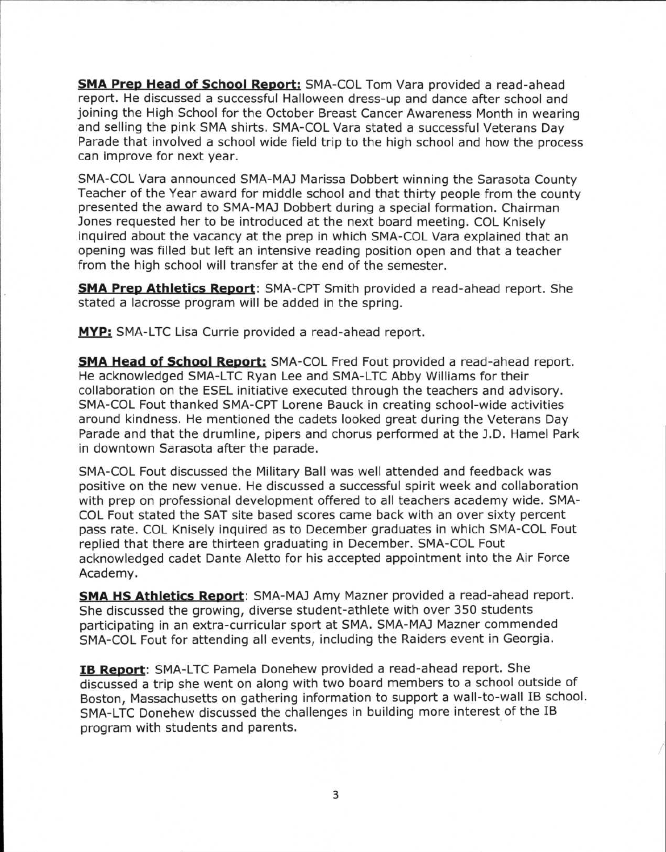**SMA Prep Head of School Report:** SMA-COL Tom Vara provided a read-ahead report. He discussed a successful Halloween dress-up and dance after school and joining the High School for the October Breast Cancer Awareness Month in wearing and selling the pink SMA shirts. SMA-COL Vara stated a successful Veterans Day Parade that involved a school wide field trip to the high school and how the process can improve for next year.

SMA-COL Vara announced SMA-MAJ Marissa Dobbert winning the Sarasota County Teacher of the Year award for middle school and that thirty people from the county presented the award to SMA-MAJ Dobbert during a special formation. Chairman Jones requested her to be introduced at the next board meeting. COL Knisely inquired about the vacancy at the prep in which SMA-COL Vara explained that an opening was filled but left an intensive reading position open and that a teacher from the high school will transfer at the end of the semester.

**SMA Prep Athletics Report:** SMA-CPT Smith provided a read-ahead report. She stated a lacrosse program will be added in the spring.

**MYP:** SMA-LTC Lisa Currie provided a read-ahead report.

**SMA Head of School Report:** SMA-COL Fred Fout provided a read-ahead report. He acknowledged SMA-LTC Ryan Lee and SMA-LTC Abby Williams for their collaboration on the ESEL initiative executed through the teachers and advisory. SMA-COL Fout thanked SMA-CPT Lorene Bauck in creating school-wide activities around kindness. He mentioned the cadets looked great during the Veterans Day Parade and that the drumline, pipers and chorus performed at the J.D. Hamel Park in downtown Sarasota after the parade.

SMA-COL Fout discussed the Military Ball was well attended and feedback was positive on the new venue. He discussed a successful spirit week and collaboration with prep on professional development offered to all teachers academy wide. SMA-COL Fout stated the SAT site based scores came back with an over sixty percent pass rate. COL Knisely inquired as to December graduates in which SMA-COL Fout replied that there are thirteen graduating in December. SMA-COL Fout acknowledged cadet Dante Aletto for his accepted appointment into the Air Force Academy.

**SMA HS Athletics Report:** SMA-MAJ Amy Mazner provided a read-ahead report. She discussed the growing, diverse student-athlete with over 350 students participating in an extra-curricular sport at SMA. SMA-MAJ Mazner commended SMA-COL Fout for attending all events, including the Raiders event in Georgia.

**IB Report:** SMA-LTC Pamela Donehew provided a read-ahead report. She discussed a trip she went on along with two board members to a school outside of Boston, Massachusetts on gathering information to support a wall-to-wall IB school. SMA-LTC Donehew discussed the challenges in building more interest of the IB program with students and parents.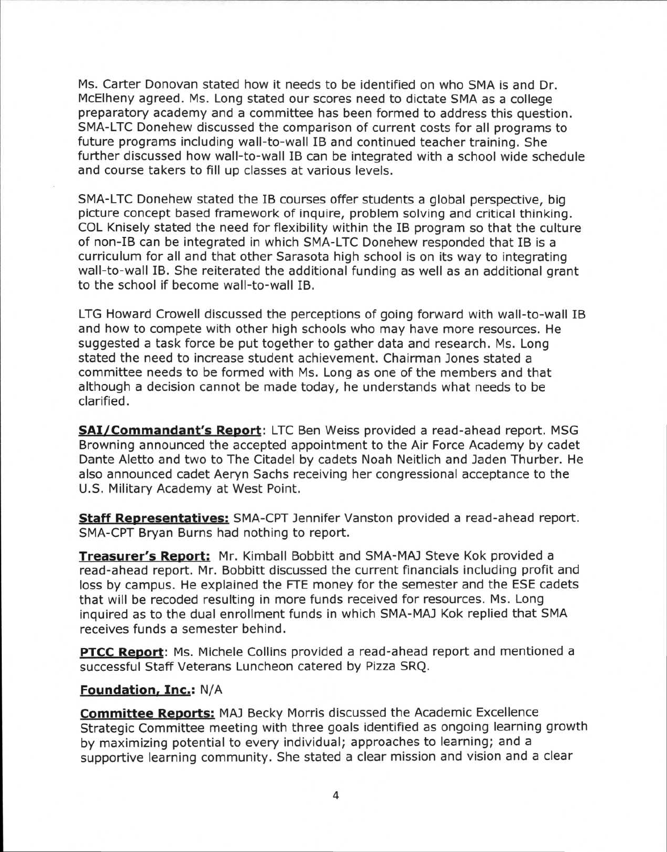Ms. Carter Donovan stated how it needs to be identified on who SMA is and Dr. McElheny agreed. Ms. Long stated our scores need to dictate SMA as a college preparatory academy and a committee has been formed to address this question. SMA-LTC Donehew discussed the comparison of current costs for all programs to future programs including wall-to-wall IB and continued teacher training. She further discussed how wall-to-wall IB can be integrated with a school wide schedule and course takers to fill up classes at various levels.

SMA-LTC Donehew stated the IB courses offer students a global perspective, big picture concept based framework of inquire, problem solving and critical thinking. COL Knisely stated the need for flexibility within the IB program so that the culture of non-IB can be integrated in which SMA-LTC Donehew responded that IB is a curriculum for all and that other Sarasota high school is on its way to integrating wall-to-wall IB. She reiterated the additional funding as well as an additional grant to the school if become wall-to-wall IB.

LTG Howard Crowell discussed the perceptions of going forward with wall-to-wall IB and how to compete with other high schools who may have more resources. He suggested a task force be put together to gather data and research. Ms. Long stated the need to increase student achievement. Chairman Jones stated a committee needs to be formed with Ms. Long as one of the members and that although a decision cannot be made today, he understands what needs to be clarified.

**SAI/Commandant's Report:** LTC Ben Weiss provided a read-ahead report. MSG Browning announced the accepted appointment to the Air Force Academy by cadet Dante Aletto and two to The Citadel by cadets Noah Neitlich and Jaden Thurber. He also announced cadet Aeryn Sachs receiving her congressional acceptance to the U.S. Military Academy at West Point.

**Staff Representatives:** SMA-CPT Jennifer Vanston provided a read-ahead report. SMA-CPT Bryan Burns had nothing to report.

**Treasurer's Report:** Mr. Kimball Bobbitt and SMA-MAJ Steve Kok provided a read-ahead report. Mr. Bobbitt discussed the current financials including profit and loss by campus. He explained the FTE money for the semester and the ESE cadets that will be recoded resulting in more funds received for resources. Ms. Long inquired as to the dual enrollment funds in which SMA-MAJ Kok replied that SMA receives funds a semester behind.

**PTCC Report:** Ms. Michele Collins provided a read-ahead report and mentioned a successful Staff Veterans Luncheon catered by Pizza SRQ.

# **Foundation, Inc.:** N/A

**Committee Reports:** MAJ Becky Morris discussed the Academic Excellence Strategic Committee meeting with three goals identified as ongoing learning growth by maximizing potential to every individual; approaches to learning; and a supportive learning community. She stated a clear mission and vision and a clear